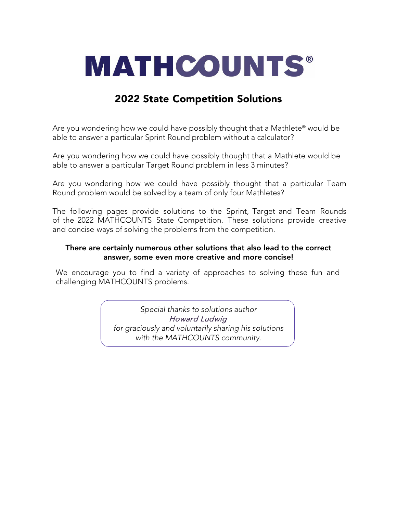

# 2022 State Competition Solutions

Are you wondering how we could have possibly thought that a Mathlete® would be able to answer a particular Sprint Round problem without a calculator?

Are you wondering how we could have possibly thought that a Mathlete would be able to answer a particular Target Round problem in less 3 minutes?

Are you wondering how we could have possibly thought that a particular Team Round problem would be solved by a team of only four Mathletes?

The following pages provide solutions to the Sprint, Target and Team Rounds of the 2022 MATHCOUNTS State Competition. These solutions provide creative and concise ways of solving the problems from the competition.

# There are certainly numerous other solutions that also lead to the correct answer, some even more creative and more concise!

We encourage you to find a variety of approaches to solving these fun and challenging MATHCOUNTS problems.

> *Special thanks to solutions author*  Howard Ludwig *for graciously and voluntarily sharing his solutions with the MATHCOUNTS community.*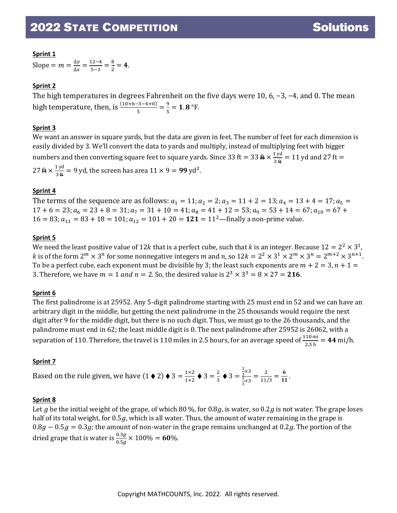# **Sprint 1**

Slope =  $m = \frac{\Delta y}{\Delta x} = \frac{12 - 4}{5 - 3} = \frac{8}{2} = 4$ .

# **Sprint 2**

The high temperatures in degrees Fahrenheit on the five days were 10, 6, −3, −4, and 0. The mean high temperature, then, is  $\frac{(10+6-3-4+0)}{5} = \frac{9}{5} = 1.8$  °F.

# **Sprint 3**

We want an answer in square yards, but the data are given in feet. The number of feet for each dimension is easily divided by 3. We'll convert the data to yards and multiply, instead of multiplying feet with bigger numbers and then converting square feet to square yards. Since 33 ft = 33  $\frac{4}{3} \times \frac{1 \text{ yd}}{3 \text{ ft}} = 11 \text{ yd}$  and 27 ft =  $27 \text{ \#} \times \frac{1 \text{ yd}}{3 \text{ \#}} = 9 \text{ yd}$ , the screen has area  $11 \times 9 = 99 \text{ yd}^2$ .

# **Sprint 4**

The terms of the sequence are as follows:  $a_1 = 11$ ;  $a_2 = 2$ ;  $a_3 = 11 + 2 = 13$ ;  $a_4 = 13 + 4 = 17$ ;  $a_5 =$  $17 + 6 = 23$ ;  $a_6 = 23 + 8 = 31$ ;  $a_7 = 31 + 10 = 41$ ;  $a_8 = 41 + 12 = 53$ ;  $a_9 = 53 + 14 = 67$ ;  $a_{10} = 67 +$  $16 = 83$ ;  $a_{11} = 83 + 18 = 101$ ;  $a_{12} = 101 + 20 = 121 = 11^2$ —finally a non-prime value.

# **Sprint 5**

We need the least positive value of 12k that is a perfect cube, such that k is an integer. Because  $12 = 2^2 \times 3^1$ , k is of the form  $2^m \times 3^n$  for some nonnegative integers m and n, so  $12k = 2^2 \times 3^1 \times 2^m \times 3^n = 2^{m+2} \times 3^{n+1}$ . To be a perfect cube, each exponent must be divisible by 3; the least such exponents are  $m + 2 = 3$ ,  $n + 1 =$ 3. Therefore, we have  $m = 1$  and  $n = 2$ . So, the desired value is  $2^3 \times 3^3 = 8 \times 27 = 216$ .

# **Sprint 6**

The first palindrome is at 25952. Any 5-digit palindrome starting with 25 must end in 52 and we can have an arbitrary digit in the middle, but getting the next palindrome in the 25 thousands would require the next digit after 9 for the middle digit, but there is no such digit. Thus, we must go to the 26 thousands, and the palindrome must end in 62; the least middle digit is 0. The next palindrome after 25952 is 26062, with a separation of 110. Therefore, the travel is 110 miles in 2.5 hours, for an average speed of  $\frac{110 \text{ mi}}{2.5 \text{ h}}$  = 44 mi/h.

# **Sprint 7**

Based on the rule given, we have  $(1 \bullet 2) \bullet 3 = \frac{1 \times 2}{1+2} \bullet 3 = \frac{2}{3} \bullet 3 =$ 2  $\frac{1}{3}$   $\times$  3 2  $\frac{\frac{3}{3}}{\frac{2}{3}+3} = \frac{2}{11/3} = \frac{6}{11}.$ 

# **Sprint 8**

Let g be the initial weight of the grape, of which 80 %, for 0.8g, is water, so 0.2g is not water. The grape loses half of its total weight, for  $0.5g$ , which is all water. Thus, the amount of water remaining in the grape is  $0.8g - 0.5g = 0.3g$ ; the amount of non-water in the grape remains unchanged at 0.2g. The portion of the dried grape that is water is  $\frac{0.3g}{0.5g} \times 100\% = 60\%.$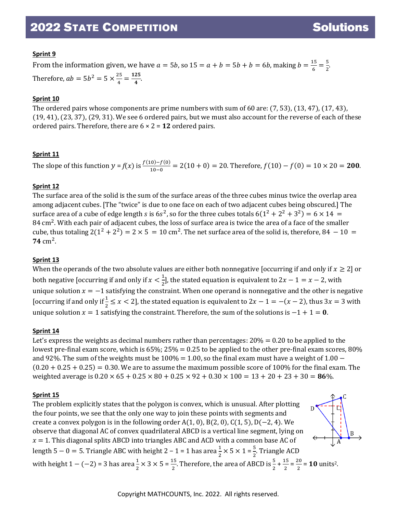B

# **Sprint 9**

From the information given, we have  $a = 5b$ , so  $15 = a + b = 5b + b = 6b$ , making  $b = \frac{15}{6} = \frac{5}{2}$ . Therefore,  $ab = 5b^2 = 5 \times \frac{25}{4} = \frac{125}{4}$ .

### **Sprint 10**

The ordered pairs whose components are prime numbers with sum of 60 are: (7, 53), (13, 47), (17, 43), (19, 41), (23, 37), (29, 31). We see 6 ordered pairs, but we must also account for the reverse of each of these ordered pairs. Therefore, there are 6 × 2 = **12** ordered pairs.

### **Sprint 11**

The slope of this function  $y = f(x)$  is  $\frac{f(10) - f(0)}{10 - 0} = 2(10 + 0) = 20$ . Therefore,  $f(10) - f(0) = 10 \times 20 = 200$ .

### **Sprint 12**

The surface area of the solid is the sum of the surface areas of the three cubes minus twice the overlap area among adjacent cubes. [The "twice" is due to one face on each of two adjacent cubes being obscured.] The surface area of a cube of edge length *s* is 6s<sup>2</sup>, so for the three cubes totals  $6(1^2 + 2^2 + 3^2) = 6 \times 14 =$ 84 cm2. With each pair of adjacent cubes, the loss of surface area is twice the area of a face of the smaller cube, thus totaling  $2(1^2 + 2^2) = 2 \times 5 = 10$  cm<sup>2</sup>. The net surface area of the solid is, therefore,  $84 - 10 =$  $74 \text{ cm}^2$ .

#### **Sprint 13**

When the operands of the two absolute values are either both nonnegative [occurring if and only if  $x \geq 2$ ] or both negative [occurring if and only if  $x < \frac{1}{2}$ ], the stated equation is equivalent to  $2x - 1 = x - 2$ , with 2 unique solution  $x=-1$  satisfying the constraint. When one operand is nonnegative and the other is negative  $\overline{\phantom{a}}$ [occurring if and only if  $\frac{1}{2} \le x < 2$ ], the stated equation is equivalent to  $2x - 1 = -(x - 2)$ , thus  $3x = 3$  with unique solution  $x = 1$  satisfying the constraint. Therefore, the sum of the solutions is  $-1 + 1 = 0$ .

#### **Sprint 14**

Let's express the weights as decimal numbers rather than percentages: 20% = 0.20 to be applied to the lowest pre-final exam score, which is  $65\%$ ;  $25\% = 0.25$  to be applied to the other pre-final exam scores,  $80\%$ and 92%. The sum of the weights must be  $100\% = 1.00$ , so the final exam must have a weight of 1.00 –  $(0.20 + 0.25 + 0.25) = 0.30$ . We are to assume the maximum possible score of 100% for the final exam. The weighted average is  $0.20 \times 65 + 0.25 \times 80 + 0.25 \times 92 + 0.30 \times 100 = 13 + 20 + 23 + 30 = 86\%$ .

#### **Sprint 15**

The problem explicitly states that the polygon is convex, which is unusual. After plotting the four points, we see that the only one way to join these points with segments and create a convex polygon is in the following order A(1, 0), B(2, 0), C(1, 5), D( $-2$ , 4). We observe that diagonal AC of convex quadrilateral ABCD is a vertical line segment, lying on  $x = 1$ . This diagonal splits ABCD into triangles ABC and ACD with a common base AC of length 5 − 0 = 5. Triangle ABC with height 2 − 1 = 1 has area  $\frac{1}{2} \times$  5  $\times$  1 =  $\frac{5}{2}$ . Triangle ACD 2 2 with height 1 – (–2) = 3 has area $\frac{1}{2}$  $\frac{1}{2} \times 3 \times 5 = \frac{15}{2}$ . Therefore, the area of ABCD is  $\frac{5}{2} + \frac{15}{2}$  $\frac{15}{2} = \frac{20}{2}$  $\frac{12}{2}$  = 10 units<sup>2</sup>.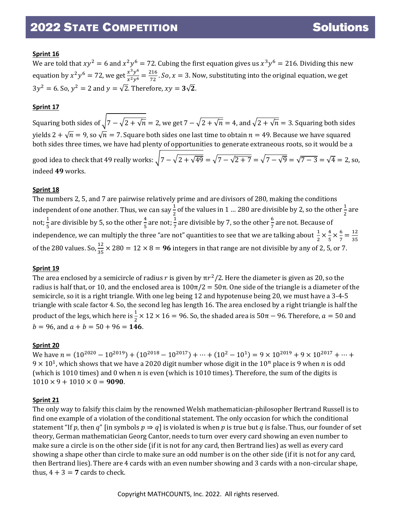### **Sprint 16**

We are told that  $xy^2 = 6$  and  $x^2y^6 = 72$ . Cubing the first equation gives us  $x^3y^6 = 216$ . Dividing this new equation by  $x^2y^6 = 72$ , we get  $\frac{x^3y^6}{x^2y^6} = \frac{216}{72}$ . So,  $x = 3$ . Now, substituting into the original equation, we get  $3y^2 = 6$ . So,  $y^2 = 2$  and  $y = \sqrt{2}$ . Therefore,  $xy = 3\sqrt{2}$ .

### **Sprint 17**

Squaring both sides of  $\sqrt{7-\sqrt{2+\sqrt{n}}}=2$ , we get  $7-\sqrt{2+\sqrt{n}}=4$ , and  $\sqrt{2+\sqrt{n}}=3$ . Squaring both sides yields  $2 + \sqrt{n} = 9$ , so  $\sqrt{n} = 7$ . Square both sides one last time to obtain  $n = 49$ . Because we have squared both sides three times, we have had plenty of opportunities to generate extraneous roots, so it would be a good idea to check that 49 really works:  $\sqrt{7-\sqrt{2+\sqrt{49}}} = \sqrt{7-\sqrt{2+7}} = \sqrt{7-\sqrt{9}} = \sqrt{7-3} = \sqrt{4} = 2$ , so, indeed **49** works.

#### **Sprint 18**

The numbers 2, 5, and 7 are pairwise relatively prime and are divisors of 280, making the conditions independent of one another. Thus, we can say  $\frac{1}{2}$  of the values in 1 ... 280 are divisible by 2, so the other  $\frac{1}{2}$  are not;  $\frac{1}{5}$  are divisible by 5, so the other  $\frac{4}{5}$  are not;  $\frac{1}{7}$  are divisible by 7, so the other  $\frac{6}{7}$  are not. Because of independence, we can multiply the three "are not" quantities to see that we are talking about  $\frac{1}{2} \times \frac{4}{5}$  $\frac{4}{5} \times \frac{6}{7} = \frac{12}{35}$ of the 280 values. So,  $\frac{12}{35} \times 280 = 12 \times 8 = 96$  integers in that range are not divisible by any of 2, 5, or 7.

#### **Sprint 19**

The area enclosed by a semicircle of radius r is given by  $\pi r^2/2$ . Here the diameter is given as 20, so the radius is half that, or 10, and the enclosed area is  $100π/2 = 50π$ . One side of the triangle is a diameter of the semicircle, so it is a right triangle. With one leg being 12 and hypotenuse being 20, we must have a 3-4-5 triangle with scale factor 4. So, the second leg has length 16. The area enclosed by a right triangle is half the product of the legs, which here is  $\frac{1}{2} \times 12 \times 16 = 96$ . So, the shaded area is 50π – 96. Therefore,  $a = 50$  and  $b = 96$ , and  $a + b = 50 + 96 = 146$ .

#### **Sprint 20**

We have  $n = (10^{2020} - 10^{2019}) + (10^{2018} - 10^{2017}) + \cdots + (10^2 - 10^1) = 9 \times 10^{2019} + 9 \times 10^{2017} + \cdots$  $9 \times 10^1$ , which shows that we have a 2020 digit number whose digit in the  $10^n$  place is 9 when *n* is odd (which is 1010 times) and 0 when  $n$  is even (which is 1010 times). Therefore, the sum of the digits is  $1010 \times 9 + 1010 \times 0 = 9090.$ 

#### **Sprint 21**

The only way to falsify this claim by the renowned Welsh mathematician-philosopher Bertrand Russell is to find one example of a violation of the conditional statement. The only occasion for which the conditional statement "If p, then q" [in symbols  $p \Rightarrow q$ ] is violated is when p is true but q is false. Thus, our founder of set theory, German mathematician Georg Cantor, needs to turn over every card showing an even number to make sure a circle is on the other side (if it is not for any card, then Bertrand lies) as well as every card showing a shape other than circle to make sure an odd number is on the other side (if it is not for any card, then Bertrand lies). There are 4 cards with an even number showing and 3 cards with a non-circular shape, thus,  $4 + 3 = 7$  cards to check.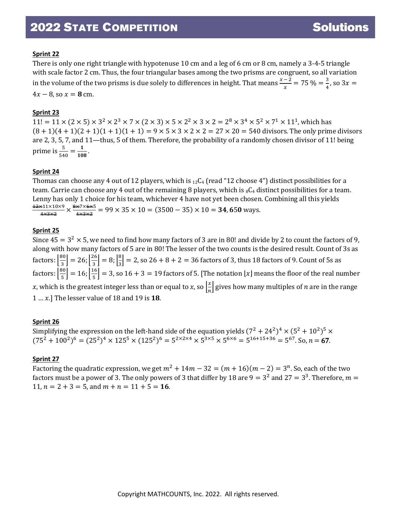### **Sprint 22**

There is only one right triangle with hypotenuse 10 cm and a leg of 6 cm or 8 cm, namely a 3-4-5 triangle with scale factor 2 cm. Thus, the four triangular bases among the two prisms are congruent, so all variation in the volume of the two prisms is due solely to differences in height. That means  $\frac{x-2}{x} = 75\% = \frac{3}{4}$ , so  $3x =$  $4x - 8$ , so  $x = 8$  cm.

### **Sprint 23**

 $11! = 11 \times (2 \times 5) \times 3^2 \times 2^3 \times 7 \times (2 \times 3) \times 5 \times 2^2 \times 3 \times 2 = 2^8 \times 3^4 \times 5^2 \times 7^1 \times 11^1$ , which has  $(8 + 1)(4 + 1)(2 + 1)(1 + 1)(1 + 1) = 9 \times 5 \times 3 \times 2 \times 2 = 27 \times 20 = 540$  divisors. The only prime divisors are 2, 3, 5, 7, and 11—thus, 5 of them. Therefore, the probability of a randomly chosen divisor of 11! being prime is  $\frac{5}{540} = \frac{1}{108}$ .

#### **Sprint 24**

Thomas can choose any 4 out of 12 players, which is  $_{12}C_4$  (read "12 choose 4") distinct possibilities for a team. Carrie can choose any 4 out of the remaining 8 players, which is  ${}_{8}C_{4}$  distinct possibilities for a team. Lenny has only 1 choice for his team, whichever 4 have not yet been chosen. Combining all this yields 12×11×10×9  $\frac{\cancel{\text{41} \times 10 \times 9}}{4 \times 3 \times 2} \times \frac{\cancel{\text{8} \times 7 \times 6 \times 5}}{4 \times 3 \times 2} = 99 \times 35 \times 10 = (3500 - 35) \times 10 = 34,650$  ways.

#### **Sprint 25**

Since  $45 = 3^2 \times 5$ , we need to find how many factors of 3 are in 80! and divide by 2 to count the factors of 9, along with how many factors of 5 are in 80! The lesser of the two counts is the desired result. Count of 3s as factors:  $\left[\frac{80}{3}\right] = 26; \left[\frac{26}{3}\right] = 8; \left[\frac{8}{3}\right]$  $\frac{1}{3}$  = 2, so 26 + 8 + 2 = 36 factors of 3, thus 18 factors of 9. Count of 5s as factors:  $\left[\frac{80}{5}\right] = 16$ ;  $\left[\frac{16}{5}\right] = 3$ , so 16 + 3 = 19 factors of 5. [The notation  $\lfloor x \rfloor$  means the floor of the real number x, which is the greatest integer less than or equal to x, so  $\frac{x}{n}$  $\frac{1}{n}$  gives how many multiples of  $n$  are in the range 1 … .] The lesser value of 18 and 19 is **18**.

#### **Sprint 26**

Simplifying the expression on the left-hand side of the equation yields  $(7^2 + 24^2)^4 \times (5^2 + 10^2)^5 \times$  $(75^2 + 100^2)^6 = (25^2)^4 \times 125^5 \times (125^2)^6 = 5^{2 \times 2 \times 4} \times 5^{3 \times 5} \times 5^{6 \times 6} = 5^{16 + 15 + 36} = 5^{67}$ . So,  $n = 67$ .

#### **Sprint 27**

Factoring the quadratic expression, we get  $m^2 + 14m - 32 = (m + 16)(m - 2) = 3^n$ . So, each of the two factors must be a power of 3. The only powers of 3 that differ by 18 are  $9 = 3^2$  and  $27 = 3^3$ . Therefore,  $m =$ 11,  $n = 2 + 3 = 5$ , and  $m + n = 11 + 5 = 16$ .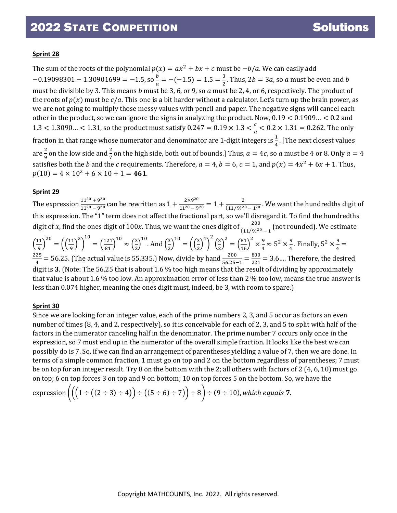### **Sprint 28**

The sum of the roots of the polynomial  $p(x) = ax^2 + bx + c$  must be  $-b/a$ . We can easily add  $-0.19098301 - 1.30901699 = -1.5$ , so  $\frac{b}{a} = -(-1.5) = 1.5 = \frac{3}{2}$ . Thus, 2b = 3a, so a must be even and b must be divisible by 3. This means  $b$  must be 3, 6, or 9, so  $a$  must be 2, 4, or 6, respectively. The product of the roots of  $p(x)$  must be  $c/a$ . This one is a bit harder without a calculator. Let's turn up the brain power, as we are not going to multiply those messy values with pencil and paper. The negative signs will cancel each other in the product, so we can ignore the signs in analyzing the product. Now, 0.19 < 0.1909… < 0.2 and 1.3 < 1.3090... < 1.31, so the product must satisfy  $0.247 = 0.19 \times 1.3 < \frac{c}{a} < 0.2 \times 1.31 = 0.262$ . The only fraction in that range whose numerator and denominator are 1-digit integers is  $\frac{1}{4}$ . [The next closest values are  $\frac{2}{9}$  on the low side and  $\frac{2}{7}$  on the high side, both out of bounds.] Thus,  $a = 4c$ , so a must be 4 or 8. Only  $a = 4$ satisfies both the *b* and the *c* requirements. Therefore,  $a = 4$ ,  $b = 6$ ,  $c = 1$ , and  $p(x) = 4x^2 + 6x + 1$ . Thus,  $p(10) = 4 \times 10^2 + 6 \times 10 + 1 = 461.$ 

### **Sprint 29**

The expression  $\frac{11^{20}+9^{20}}{11^{20}-9^{20}}$  can be rewritten as  $1+\frac{2\times9^{20}}{11^{20}-9^{20}}=1+\frac{2}{(11/9)^{20}-1^{20}}$ . We want the hundredths digit of this expression. The "1" term does not affect the fractional part, so we'll disregard it. To find the hundredths digit of x, find the ones digit of 100x. Thus, we want the ones digit of  $\frac{200}{(11/9)^{20}-1}$  (not rounded). We estimate  $\left(\frac{11}{9}\right)$  $20 = \left(\frac{11}{9}\right)^2$ 2  $\big)$ 10  $=\left(\frac{121}{81}\right)^{10} \approx \left(\frac{3}{2}\right)^{10}$ 10 . And  $\left(\frac{3}{2}\right)$  $\frac{1}{2}$  $10\begin{pmatrix} 3 \ 2 \end{pmatrix}$ 4  $\big)$ 2  $\left(\frac{3}{2}\right)$  $\frac{1}{2}$ 2  $=\binom{81}{16}$ 2  $\times\frac{9}{4} \approx 5^2 \times \frac{9}{4}$ . Finally,  $5^2 \times \frac{9}{4} =$  $\frac{225}{4}$  = 56.25. (The actual value is 55.335.) Now, divide by hand  $\frac{200}{56.25-1}$  =  $\frac{800}{221}$  = 3.6.... Therefore, the desired digit is **3**. (Note: The 56.25 that is about 1.6 % too high means that the result of dividing by approximately that value is about 1.6 % too low. An approximation error of less than 2 % too low, means the true answer is less than 0.074 higher, meaning the ones digit must, indeed, be 3, with room to spare.)

#### **Sprint 30**

Since we are looking for an integer value, each of the prime numbers 2, 3, and 5 occur as factors an even number of times (8, 4, and 2, respectively), so it is conceivable for each of 2, 3, and 5 to split with half of the factors in the numerator canceling half in the denominator. The prime number 7 occurs only once in the expression, so 7 must end up in the numerator of the overall simple fraction. It looks like the best we can possibly do is 7. So, if we can find an arrangement of parentheses yielding a value of 7, then we are done. In terms of a simple common fraction, 1 must go on top and 2 on the bottom regardless of parentheses; 7 must be on top for an integer result. Try 8 on the bottom with the 2; all others with factors of 2 (4, 6, 10) must go on top; 6 on top forces 3 on top and 9 on bottom; 10 on top forces 5 on the bottom. So, we have the

expression 
$$
((1 + ((2 + 3) + 4)) + ((5 + 6) + 7)) + 8) + (9 + 10)
$$
, which equals 7.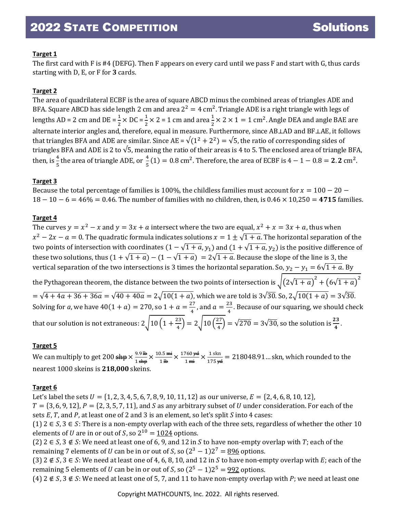# **Target 1**

The first card with F is #4 (DEFG). Then F appears on every card until we pass F and start with G, thus cards starting with D, E, or F for **3** cards.

# **Target 2**

The area of quadrilateral ECBF is the area of square ABCD minus the combined areas of triangles ADE and BFA. Square ABCD has side length 2 cm and area  $2^2 = 4$  cm<sup>2</sup>. Triangle ADE is a right triangle with legs of lengths AD = 2 cm and DE =  $\frac{1}{2}$  × DC =  $\frac{1}{2}$  × 2 = 1 cm and area  $\frac{1}{2}$  × 2 × 1 = 1 cm<sup>2</sup>. Angle DEA and angle BAE are 2 2 2 alternate interior angles and, therefore, equal in measure. Furthermore, since  $\mathtt{ABLAD}$  and  $\mathtt{BFLAE}$ , it follows that triangles BFA and ADE are similar. Since AE =  $\sqrt{(1^2 + 2^2)} = \sqrt{5}$ , the ratio of corresponding sides of triangles BFA and ADE is 2 to  $\sqrt{5}$ , meaning the ratio of their areas is 4 to 5. The enclosed area of triangle BFA, then, is  $\frac{4}{5}$  the area of triangle ADE, or  $\frac{4}{5}(1) = 0.8$  cm<sup>2</sup>. Therefore, the area of ECBF is  $4 - 1 - 0.8 = 2.2$  cm<sup>2</sup>.

# **Target 3**

Because the total percentage of families is 100%, the childless families must account for  $x = 100 - 20 18 - 10 - 6 = 46\% = 0.46$ . The number of families with no children, then, is  $0.46 \times 10,250 = 4715$  families.

# **Target 4**

The curves  $y = x^2 - x$  and  $y = 3x + a$  intersect where the two are equal,  $x^2 + x = 3x + a$ , thus when  $x^2 - 2x - a = 0$ . The quadratic formula indicates solutions  $x = 1 \pm \sqrt{1 + a}$ . The horizontal separation of the two points of intersection with coordinates  $(1 - \sqrt{1 + a}, y_1)$  and  $(1 + \sqrt{1 + a}, y_2)$  is the positive difference of these two solutions, thus  $(1 + \sqrt{1+a}) - (1 - \sqrt{1+a}) = 2\sqrt{1+a}$ . Because the slope of the line is 3, the vertical separation of the two intersections is 3 times the horizontal separation. So,  $y_2 - y_1 = 6\sqrt{1 + a}$ . By the Pythagorean theorem, the distance between the two points of intersection is  $\sqrt{\left(2\sqrt{1+a}\right)^2+\left(6\sqrt{1+a}\right)^2}$  $=\sqrt{4 + 4a + 36 + 36a} = \sqrt{40 + 40a} = 2\sqrt{10(1 + a)}$ , which we are told is  $3\sqrt{30}$ . So,  $2\sqrt{10(1 + a)} = 3\sqrt{30}$ . Solving for *a*, we have  $40(1 + a) = 270$ , so  $1 + a = \frac{27}{4}$ , and  $a = \frac{23}{4}$ . Because of our squaring, we should check that our solution is not extraneous:  $2\sqrt{10\left(1+\frac{23}{4}\right)}=2\sqrt{10\left(\frac{27}{4}\right)}=\sqrt{270}=3\sqrt{30}$ , so the solution is  $\frac{23}{4}$ .

# **Target 5**

We can multiply to get 200  $\frac{1}{3}$  We can multiply to get 200  $\frac{9.9 \text{ H}\cdot}{1 \text{ shp}} \times \frac{10.5 \text{ m}}{1 \text{ H}\cdot}$  $\frac{1.5 \text{ m}}{1 \text{ lb}} \times \frac{1760 \text{ yd}}{1 \text{ mi}}$  $\frac{760 \text{ yd}}{1 \text{ mi}} \times \frac{1 \text{ skin}}{175 \text{ yd}} = 218048.91...$  skn, which rounded to the nearest 1000 skeins is **218,000** skeins.

# **Target 6**

Let's label the sets  $U = \{1, 2, 3, 4, 5, 6, 7, 8, 9, 10, 11, 12\}$  as our universe,  $E = \{2, 4, 6, 8, 10, 12\}$ ,  $T = \{3, 6, 9, 12\}, P = \{2, 3, 5, 7, 11\}, \text{ and } S \text{ as any arbitrary subset of } U \text{ under consideration. For each of the$ sets  $E$ ,  $T$ , and  $P$ , at least one of 2 and 3 is an element, so let's split  $S$  into 4 cases:

(1)  $2 \in S$ ,  $3 \in S$ : There is a non-empty overlap with each of the three sets, regardless of whether the other 10 elements of *U* are in or out of *S*, so  $2^{10} = 1024$  options.

(2)  $2 \in S$ ,  $3 \notin S$ : We need at least one of 6, 9, and 12 in S to have non-empty overlap with T; each of the remaining 7 elements of *U* can be in or out of *S*, so  $(2^3 - 1)2^7 = 896$  options.

(3)  $2 \notin S$ ,  $3 \in S$ : We need at least one of 4, 6, 8, 10, and 12 in *S* to have non-empty overlap with *E*; each of the remaining 5 elements of *U* can be in or out of *S*, so  $(2^5 – 1)2^5 = 992$  options.

(4)  $2 \notin S$ ,  $3 \notin S$ : We need at least one of 5, 7, and 11 to have non-empty overlap with P; we need at least one

Copyright MATHCOUNTS, Inc. 2022. All rights reserved.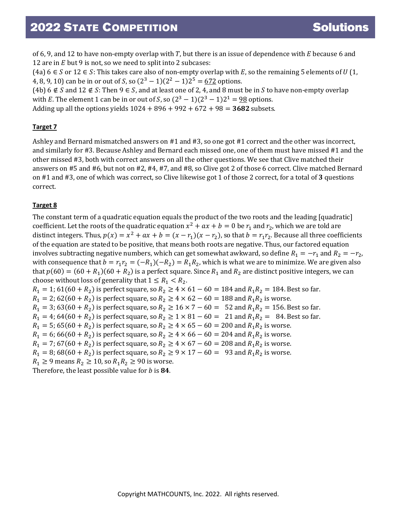of 6, 9, and 12 to have non-empty overlap with  $T$ , but there is an issue of dependence with  $E$  because 6 and 12 are in  $E$  but 9 is not, so we need to split into 2 subcases:

(4a) 6  $\in$  *S* or 12  $\in$  *S*: This takes care also of non-empty overlap with *E*, so the remaining 5 elements of *U* (1, 4, 8, 9, 10) can be in or out of *S*, so  $(2^3 - 1)(2^2 - 1)2^5 = 672$  options.

(4b) 6  $\notin$  *S* and 12  $\notin$  *S*: Then 9  $\in$  *S*, and at least one of 2, 4, and 8 must be in *S* to have non-empty overlap with *E*. The element 1 can be in or out of *S*, so  $(2^3 - 1)(2^3 - 1)2^1 = 98$  options. Adding up all the options yields  $1024 + 896 + 992 + 672 + 98 = 3682$  subsets.

#### **Target 7**

Ashley and Bernard mismatched answers on #1 and #3, so one got #1 correct and the other was incorrect, and similarly for #3. Because Ashley and Bernard each missed one, one of them must have missed #1 and the other missed #3, both with correct answers on all the other questions. We see that Clive matched their answers on #5 and #6, but not on #2, #4, #7, and #8, so Clive got 2 of those 6 correct. Clive matched Bernard on #1 and #3, one of which was correct, so Clive likewise got 1 of those 2 correct, for a total of **3** questions correct.

### **Target 8**

The constant term of a quadratic equation equals the product of the two roots and the leading [quadratic] coefficient. Let the roots of the quadratic equation  $x^2 + ax + b = 0$  be  $r_1$  and  $r_2$ , which we are told are distinct integers. Thus,  $p(x) = x^2 + ax + b = (x - r_1)(x - r_2)$ , so that  $b = r_1 r_2$ . Because all three coefficients of the equation are stated to be positive, that means both roots are negative. Thus, our factored equation involves subtracting negative numbers, which can get somewhat awkward, so define  $R_1 = -r_1$  and  $R_2 = -r_2$ , with consequence that  $b = r_1 r_2 = (-R_1)(-R_2) = R_1 R_2$ , which is what we are to minimize. We are given also that  $p(60) = (60 + R_1)(60 + R_2)$  is a perfect square. Since  $R_1$  and  $R_2$  are distinct positive integers, we can choose without loss of generality that  $1 \leq R_1 < R_2$ .

 $R_1 = 1$ ; 61(60 +  $R_2$ ) is perfect square, so  $R_2 \ge 4 \times 61 - 60 = 184$  and  $R_1 R_2 = 184$ . Best so far.  $R_1 = 2$ ; 62(60 +  $R_2$ ) is perfect square, so  $R_2 \ge 4 \times 62 - 60 = 188$  and  $R_1 R_2$  is worse.  $R_1 = 3$ ; 63(60 +  $R_2$ ) is perfect square, so  $R_2 \ge 16 \times 7 - 60 = 52$  and  $R_1 R_2 = 156$ . Best so far.  $R_1 = 4$ ; 64(60 +  $R_2$ ) is perfect square, so  $R_2 \ge 1 \times 81 - 60 = 21$  and  $R_1 R_2 = 84$ . Best so far.  $R_1 = 5$ ; 65(60 +  $R_2$ ) is perfect square, so  $R_2 \ge 4 \times 65 - 60 = 200$  and  $R_1 R_2$  is worse.  $R_1 = 6$ ; 66(60 +  $R_2$ ) is perfect square, so  $R_2 \ge 4 \times 66 - 60 = 204$  and  $R_1 R_2$  is worse.  $R_1 = 7$ ; 67(60 +  $R_2$ ) is perfect square, so  $R_2 \ge 4 \times 67 - 60 = 208$  and  $R_1 R_2$  is worse.  $R_1 = 8$ ; 68(60 +  $R_2$ ) is perfect square, so  $R_2 \ge 9 \times 17 - 60 = 93$  and  $R_1 R_2$  is worse.  $R_1 \ge 9$  means  $R_2 \ge 10$ , so  $R_1 R_2 \ge 90$  is worse. Therefore, the least possible value for *b* is 84.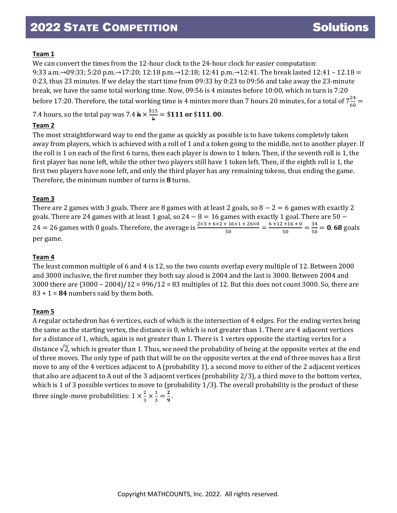### **Team 1**

We can convert the times from the 12-hour clock to the 24-hour clock for easier computation:

9:33 a.m.→09:33; 5:20 p.m.→17:20; 12:18 p.m.→12:18; 12:41 p.m.→12:41. The break lasted 12:41 – 12.18 = 0:23, thus 23 minutes. If we delay the start time from 09:33 by 0:23 to 09:56 and take away the 23-minute break, we have the same total working time. Now, 09:56 is 4 minutes before 10:00, which in turn is 7:20 before 17:20. Therefore, the total working time is 4 mintes more than 7 hours 20 minutes, for a total of  $7\frac{24}{60}$ 

7.4 hours, so the total pay was  $7.4 \frac{h}{h} \times \frac{$15}{h} = $111$  or \$111.00.

# **Team 2**

The most straightforward way to end the game as quickly as possible is to have tokens completely taken away from players, which is achieved with a roll of 1 and a token going to the middle, not to another player. If the roll is 1 on each of the first 6 turns, then each player is down to 1 token. Then, if the seventh roll is 1, the first player has none left, while the other two players still have 1 token left. Then, if the eighth roll is 1, the first two players have none left, and only the third player has any remaining tokens, thus ending the game. Therefore, the minimum number of turns is **8** turns.

### **Team 3**

There are 2 games with 3 goals. There are 8 games with at least 2 goals, so  $8 - 2 = 6$  games with exactly 2 goals. There are 24 games with at least 1 goal, so 24  $-$  8  $=$  16 games with exactly 1 goal. There are 50  $-$ 24 = 26 games with 0 goals. Therefore, the average is  $\frac{2 \times 3 + 6 \times 2 + 16 \times 1 + 26 \times 0}{50} = \frac{6 + 12 + 16 + 0}{50} = \frac{34}{50} = 0.68$  goals per game.

#### **Team 4**

The least common multiple of 6 and 4 is 12, so the two counts overlap every multiple of 12. Between 2000 and 3000 inclusive, the first number they both say aloud is 2004 and the last is 3000. Between 2004 and 3000 there are (3000 − 2004)/12 = 996/12 = 83 multiples of 12. But this does not count 3000. So, there are 83 + 1 = **84** numbers said by them both.

# **Team 5**

A regular octahedron has 6 vertices, each of which is the intersection of 4 edges. For the ending vertex being the same as the starting vertex, the distance is 0, which is not greater than 1. There are 4 adjacent vertices for a distance of 1, which, again is not greater than 1. There is 1 vertex opposite the starting vertex for a distance  $\sqrt{2}$ , which is greater than 1. Thus, we need the probability of being at the opposite vertex at the end of three moves. The only type of path that will be on the opposite vertex at the end of three moves has a first move to any of the 4 vertices adjacent to A (probability 1), a second move to either of the 2 adjacent vertices that also are adjacent to A out of the 3 adjacent vertices (probability 2/3), a third move to the bottom vertex, which is 1 of 3 possible vertices to move to (probability 1/3). The overall probability is the product of these three single-move probabilities:  $1 \times \frac{2}{3} \times \frac{1}{3} = \frac{2}{9}$ .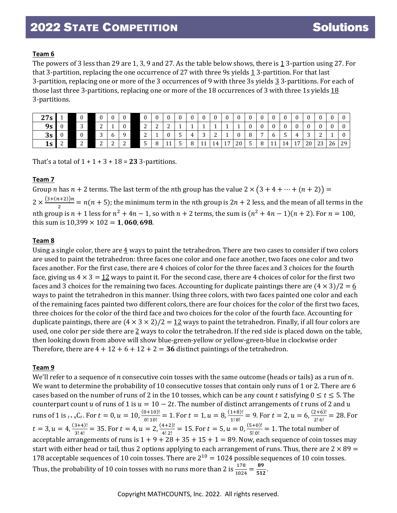#### **Team 6**

The powers of 3 less than 29 are 1, 3, 9 and 27. As the table below shows, there is  $\frac{1}{2}$  3-partion using 27. For that 3-partition, replacing the one occurrence of 27 with three 9s yields 1 3-partition. For that last 3-partition, replacing one or more of the 3 occurrences of 9 with three 3s yields 3 3-partitions. For each of those last three 3-partitions, replacing one or more of the 18 occurrences of 3 with three 1s yields 18 3-partitions.

| 27s |  | $\Omega$        | ∩           |   | $\bf{0}$    |                 | $\Omega$   |             |   | $\mathbf{0}$    | $\sim$      | $\Omega$ | $\Omega$ | $\Omega$ | $\Omega$ |    |                |    |        | $\mathbf{0}$ |    |
|-----|--|-----------------|-------------|---|-------------|-----------------|------------|-------------|---|-----------------|-------------|----------|----------|----------|----------|----|----------------|----|--------|--------------|----|
| 9s  |  | $\sqrt{2}$<br>ັ | $\sqrt{2}$  |   | $\Omega$    | $\sqrt{2}$<br>∼ | $\sqrt{2}$ | $\sim$<br>∼ |   |                 |             |          |          |          |          |    |                |    |        |              |    |
| 3s  |  |                 | $\sim$<br>ت | v |             | $\sim$<br>∼     |            |             | ັ | $\sqrt{2}$<br>ັ | $\sim$<br>∼ |          |          | $\sim$   |          |    |                |    | $\sim$ |              |    |
| 1s  |  | $\sqrt{2}$<br>∼ | $\sim$<br>- |   | $\sim$<br>∼ | -<br>ັ          | O          |             |   | 11              |             | 17       | 20       | -        |          | 14 | 1 <sub>7</sub> | 20 | 23     | 26           | 29 |

That's a total of  $1 + 1 + 3 + 18 = 23$  3-partitions.

#### **Team 7**

Group *n* has  $n + 2$  terms. The last term of the *n*th group has the value  $2 \times (3 + 4 + \cdots + (n + 2)) =$  $2 \times \frac{(3+(n+2))n}{2} = n(n+5)$ ; the minimum term in the *n*th group is  $2n + 2$  less, and the mean of all terms in the nth group is  $n + 1$  less for  $n^2 + 4n - 1$ , so with  $n + 2$  terms, the sum is  $(n^2 + 4n - 1)(n + 2)$ . For  $n = 100$ , this sum is  $10,399 \times 102 = 1,060,698$ .

### **Team 8**

Using a single color, there are  $\frac{4}{3}$  ways to paint the tetrahedron. There are two cases to consider if two colors are used to paint the tetrahedron: three faces one color and one face another, two faces one color and two faces another. For the first case, there are 4 choices of color for the three faces and 3 choices for the fourth face, giving us  $4 \times 3 = 12$  ways to paint it. For the second case, there are 4 choices of color for the first two faces and 3 choices for the remaining two faces. Accounting for duplicate paintings there are  $(4 \times 3)/2 = 6$ ways to paint the tetrahedron in this manner. Using three colors, with two faces painted one color and each of the remaining faces painted two different colors, there are four choices for the color of the first two faces, three choices for the color of the third face and two choices for the color of the fourth face. Accounting for duplicate paintings, there are  $(4 \times 3 \times 2)/2 = 12$  ways to paint the tetrahedron. Finally, if all four colors are used, one color per side there are  $2$  ways to color the tetrahedron. If the red side is placed down on the table, then looking down from above will show blue-green-yellow or yellow-green-blue in clockwise order Therefore, there are  $4 + 12 + 6 + 12 + 2 = 36$  distinct paintings of the tetrahedron.

#### **Team 9**

We'll refer to a sequence of *n* consecutive coin tosses with the same outcome (heads or tails) as a run of *n*. We want to determine the probability of 10 consecutive tosses that contain only runs of 1 or 2. There are 6 cases based on the number of runs of 2 in the 10 tosses, which can be any count *t* satisfying  $0 \le t \le 5$ . The counterpart count u of runs of 1 is  $u = 10 - 2t$ . The number of distinct arrangements of t runs of 2 and u runs of 1 is  $_{t+u}C_t$ . For  $t = 0$ ,  $u = 10$ ,  $\frac{(0+10)!}{0! \ 10!} = 1$ . For  $t = 1$ ,  $u = 8$ ,  $\frac{(1+8)!}{1! \ 8!} = 9$ . For  $t = 2$ ,  $u = 6$ ,  $\frac{(2+6)!}{2! \ 6!} = 28$ . For  $0!10!$  1!8!  $t = 3, u = 4, \frac{(3+4)!}{3!4!} = 35.$  For  $t = 4, u = 2, \frac{(4+2)!}{4!2!} = 15.$  For  $t = 5, u = 0, \frac{(5+0)!}{5!0!}$  $\frac{1}{5!0!}$  = 1. The total number of acceptable arrangements of runs is  $1 + 9 + 28 + 35 + 15 + 1 = 89$ . Now, each sequence of coin tosses may start with either head or tail, thus 2 options applying to each arrangement of runs. Thus, there are  $2 \times 89 =$ 178 acceptable sequences of 10 coin tosses. There are  $2^{10} = 1024$  possible sequences of 10 coin tosses. Thus, the probability of 10 coin tosses with no runs more than 2 is  $\frac{178}{1024} = \frac{89}{512}$ .